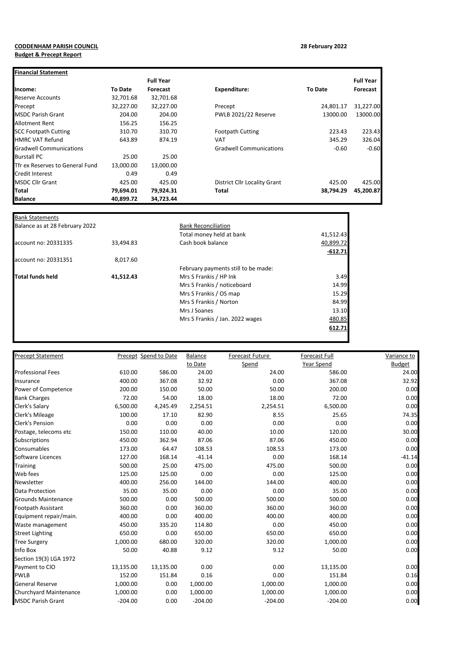## **CODDENHAM PARISH COUNCIL 28 February 2022 Budget & Precept Report**

| <b>Financial Statement</b>      |                |                  |                                     |                |                  |
|---------------------------------|----------------|------------------|-------------------------------------|----------------|------------------|
|                                 |                | <b>Full Year</b> |                                     |                | <b>Full Year</b> |
| Income:                         | <b>To Date</b> | Forecast         | <b>Expenditure:</b>                 | <b>To Date</b> | Forecast         |
| Reserve Accounts                | 32,701.68      | 32,701.68        |                                     |                |                  |
| Precept                         | 32,227.00      | 32,227.00        | Precept                             | 24,801.17      | 31,227.00        |
| <b>MSDC Parish Grant</b>        | 204.00         | 204.00           | PWLB 2021/22 Reserve                | 13000.00       | 13000.00         |
| <b>Allotment Rent</b>           | 156.25         | 156.25           |                                     |                |                  |
| <b>SCC Footpath Cutting</b>     | 310.70         | 310.70           | <b>Footpath Cutting</b>             | 223.43         | 223.43           |
| <b>HMRC VAT Refund</b>          | 643.89         | 874.19           | <b>VAT</b>                          | 345.29         | 326.04           |
| <b>Gradwell Communications</b>  |                |                  | <b>Gradwell Communications</b>      | $-0.60$        | $-0.60$          |
| <b>Burstall PC</b>              | 25.00          | 25.00            |                                     |                |                  |
| Tfr ex Reserves to General Fund | 13,000.00      | 13,000.00        |                                     |                |                  |
| <b>Credit Interest</b>          | 0.49           | 0.49             |                                     |                |                  |
| <b>MSDC Cllr Grant</b>          | 425.00         | 425.00           | <b>District Cllr Locality Grant</b> | 425.00         | 425.00           |
| <b>Total</b>                    | 79,694.01      | 79,924.31        | Total                               | 38.794.29      | 45,200.87        |
| <b>Balance</b>                  | 40,899.72      | 34,723.44        |                                     |                |                  |

| <b>Bank Reconciliation</b> |  |  |  |
|----------------------------|--|--|--|
| 41,512.43                  |  |  |  |
| 40,899.72                  |  |  |  |
| $-612.71$                  |  |  |  |
|                            |  |  |  |
|                            |  |  |  |
| 3.49                       |  |  |  |
| 14.99                      |  |  |  |
| 15.29                      |  |  |  |
| 84.99                      |  |  |  |
| 13.10                      |  |  |  |
| 480.85                     |  |  |  |
| 612.71                     |  |  |  |
|                            |  |  |  |
|                            |  |  |  |

| <b>Precept Statement</b>   |           | Precept Spend to Date | <b>Balance</b> | Forecast Future | Forecast Full | Variance to   |
|----------------------------|-----------|-----------------------|----------------|-----------------|---------------|---------------|
|                            |           |                       | to Date        | Spend           | Year Spend    | <b>Budget</b> |
| <b>Professional Fees</b>   | 610.00    | 586.00                | 24.00          | 24.00           | 586.00        | 24.00         |
| Insurance                  | 400.00    | 367.08                | 32.92          | 0.00            | 367.08        | 32.92         |
| Power of Competence        | 200.00    | 150.00                | 50.00          | 50.00           | 200.00        | 0.00          |
| <b>Bank Charges</b>        | 72.00     | 54.00                 | 18.00          | 18.00           | 72.00         | 0.00          |
| Clerk's Salary             | 6,500.00  | 4,245.49              | 2,254.51       | 2,254.51        | 6,500.00      | 0.00          |
| Clerk's Mileage            | 100.00    | 17.10                 | 82.90          | 8.55            | 25.65         | 74.35         |
| Clerk's Pension            | 0.00      | 0.00                  | 0.00           | 0.00            | 0.00          | 0.00          |
| Postage, telecoms etc      | 150.00    | 110.00                | 40.00          | 10.00           | 120.00        | 30.00         |
| <b>Subscriptions</b>       | 450.00    | 362.94                | 87.06          | 87.06           | 450.00        | 0.00          |
| Consumables                | 173.00    | 64.47                 | 108.53         | 108.53          | 173.00        | 0.00          |
| Software Licences          | 127.00    | 168.14                | $-41.14$       | 0.00            | 168.14        | $-41.14$      |
| <b>Training</b>            | 500.00    | 25.00                 | 475.00         | 475.00          | 500.00        | 0.00          |
| Web fees                   | 125.00    | 125.00                | 0.00           | 0.00            | 125.00        | 0.00          |
| Newsletter                 | 400.00    | 256.00                | 144.00         | 144.00          | 400.00        | 0.00          |
| Data Protection            | 35.00     | 35.00                 | 0.00           | 0.00            | 35.00         | 0.00          |
| <b>Grounds Maintenance</b> | 500.00    | 0.00                  | 500.00         | 500.00          | 500.00        | 0.00          |
| <b>Footpath Assistant</b>  | 360.00    | 0.00                  | 360.00         | 360.00          | 360.00        | 0.00          |
| Equipment repair/main.     | 400.00    | 0.00                  | 400.00         | 400.00          | 400.00        | 0.00          |
| Waste management           | 450.00    | 335.20                | 114.80         | 0.00            | 450.00        | 0.00          |
| <b>Street Lighting</b>     | 650.00    | 0.00                  | 650.00         | 650.00          | 650.00        | 0.00          |
| <b>Tree Surgery</b>        | 1,000.00  | 680.00                | 320.00         | 320.00          | 1,000.00      | 0.00          |
| Info Box                   | 50.00     | 40.88                 | 9.12           | 9.12            | 50.00         | 0.00          |
| Section 19(3) LGA 1972     |           |                       |                |                 |               |               |
| Payment to CIO             | 13,135.00 | 13,135.00             | 0.00           | 0.00            | 13,135.00     | 0.00          |
| <b>PWLB</b>                | 152.00    | 151.84                | 0.16           | 0.00            | 151.84        | 0.16          |
| <b>General Reserve</b>     | 1,000.00  | 0.00                  | 1,000.00       | 1,000.00        | 1,000.00      | 0.00          |
| Churchyard Maintenance     | 1,000.00  | 0.00                  | 1,000.00       | 1,000.00        | 1,000.00      | 0.00          |
| <b>MSDC Parish Grant</b>   | $-204.00$ | 0.00                  | $-204.00$      | $-204.00$       | $-204.00$     | 0.00          |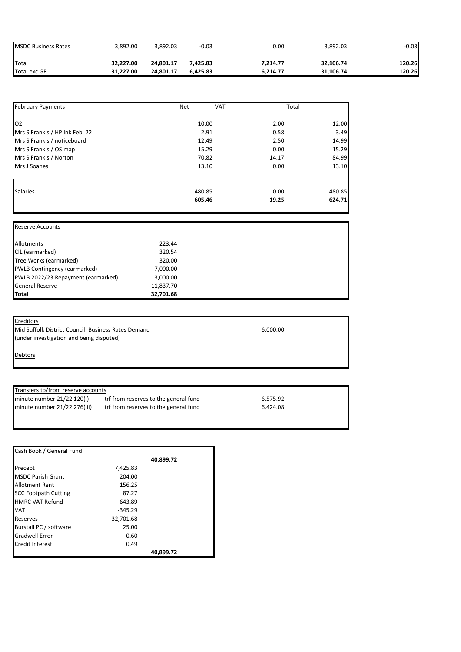| <b>MSDC Business Rates</b> | 3.892.00  | 3.892.03  | $-0.03$  | 0.00     | 3,892.03  | $-0.03$ |
|----------------------------|-----------|-----------|----------|----------|-----------|---------|
| Total                      | 32,227.00 | 24.801.17 | 7.425.83 | 7.214.77 | 32,106.74 | 120.26  |
| <b>Total exc GR</b>        | 31,227.00 | 24.801.17 | 6.425.83 | 6.214.77 | 31.106.74 | 120.26  |

| <b>February Payments</b>       | <b>Net</b> | <b>VAT</b> | Total  |
|--------------------------------|------------|------------|--------|
| O <sub>2</sub>                 | 10.00      | 2.00       | 12.00  |
| Mrs S Frankis / HP Ink Feb. 22 | 2.91       | 0.58       | 3.49   |
| Mrs S Frankis / noticeboard    | 12.49      | 2.50       | 14.99  |
| Mrs S Frankis / OS map         | 15.29      | 0.00       | 15.29  |
| Mrs S Frankis / Norton         | 70.82      | 14.17      | 84.99  |
| Mrs J Soanes                   | 13.10      | 0.00       | 13.10  |
|                                |            |            |        |
| <b>Salaries</b>                | 480.85     | 0.00       | 480.85 |
|                                | 605.46     | 19.25      | 624.71 |

| <b>Reserve Accounts</b>            |           |  |  |
|------------------------------------|-----------|--|--|
| Allotments                         | 223.44    |  |  |
| CIL (earmarked)                    | 320.54    |  |  |
| Tree Works (earmarked)             | 320.00    |  |  |
| PWLB Contingency (earmarked)       | 7,000.00  |  |  |
| PWLB 2022/23 Repayment (earmarked) | 13,000.00 |  |  |
| <b>General Reserve</b>             | 11,837.70 |  |  |
| <b>Total</b>                       | 32,701.68 |  |  |

| Creditors                                           |          |
|-----------------------------------------------------|----------|
| Mid Suffolk District Council: Business Rates Demand | 6.000.00 |
| (under investigation and being disputed)            |          |

**Debtors** 

## Transfers to/from reserve accounts

minute number 21/22 120(i) trf from reserves to the general fund 6,575.92<br>minute number 21/22 276(iii) trf from reserves to the general fund 6,424.08 trf from reserves to the general fund

| Cash Book / General Fund    |           |           |
|-----------------------------|-----------|-----------|
|                             |           | 40,899.72 |
| Precept                     | 7,425.83  |           |
| <b>MSDC Parish Grant</b>    | 204.00    |           |
| Allotment Rent              | 156.25    |           |
| <b>SCC Footpath Cutting</b> | 87.27     |           |
| <b>HMRC VAT Refund</b>      | 643.89    |           |
| VAT                         | $-345.29$ |           |
| Reserves                    | 32,701.68 |           |
| Burstall PC / software      | 25.00     |           |
| Gradwell Error              | 0.60      |           |
| Credit Interest             | 0.49      |           |
|                             |           | 40.899.72 |